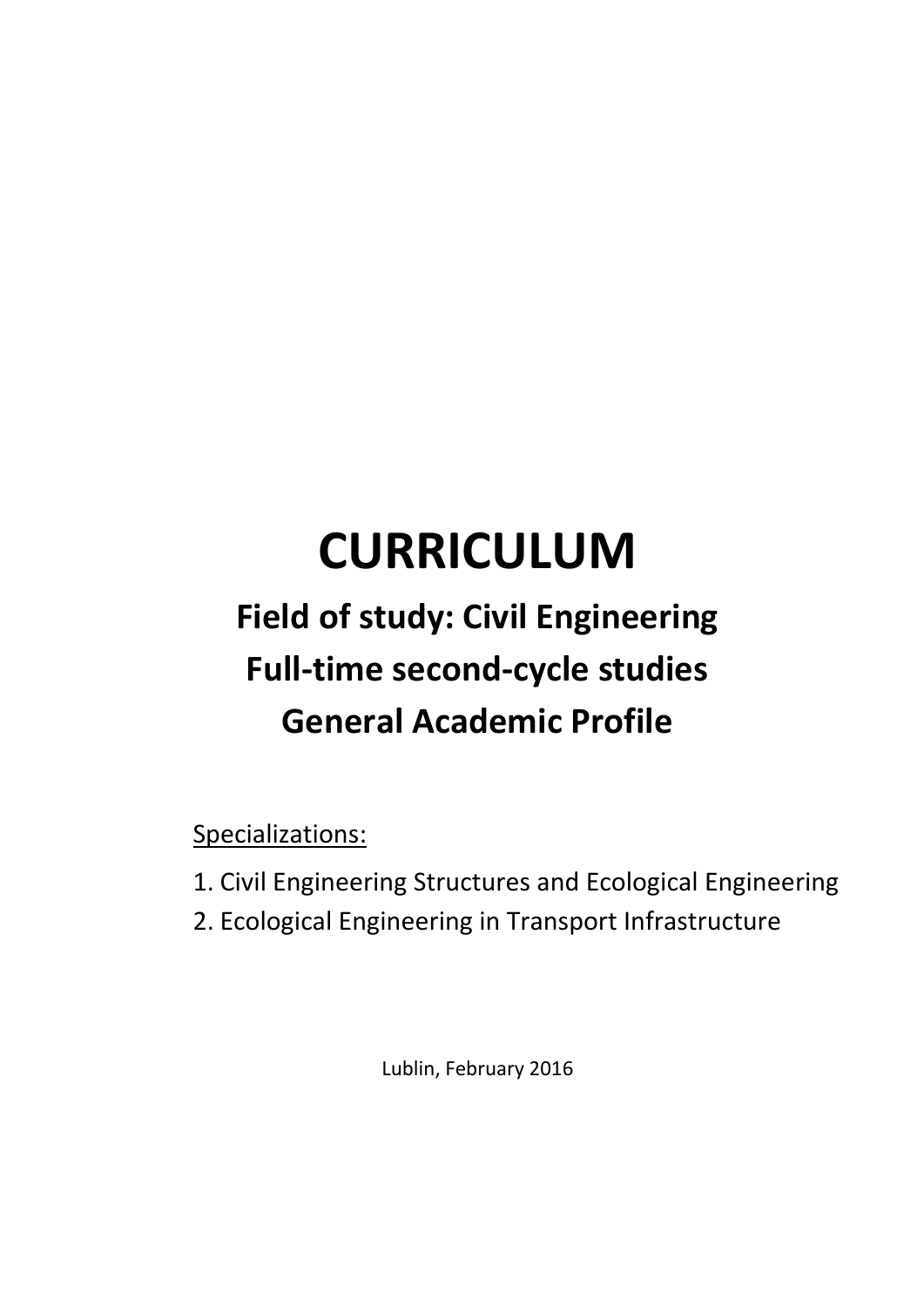# **CURRICULUM**

# **Field of study: Civil Engineering Full-time second-cycle studies General Academic Profile**

Specializations:

- 1. Civil Engineering Structures and Ecological Engineering
- 2. Ecological Engineering in Transport Infrastructure

Lublin, February 2016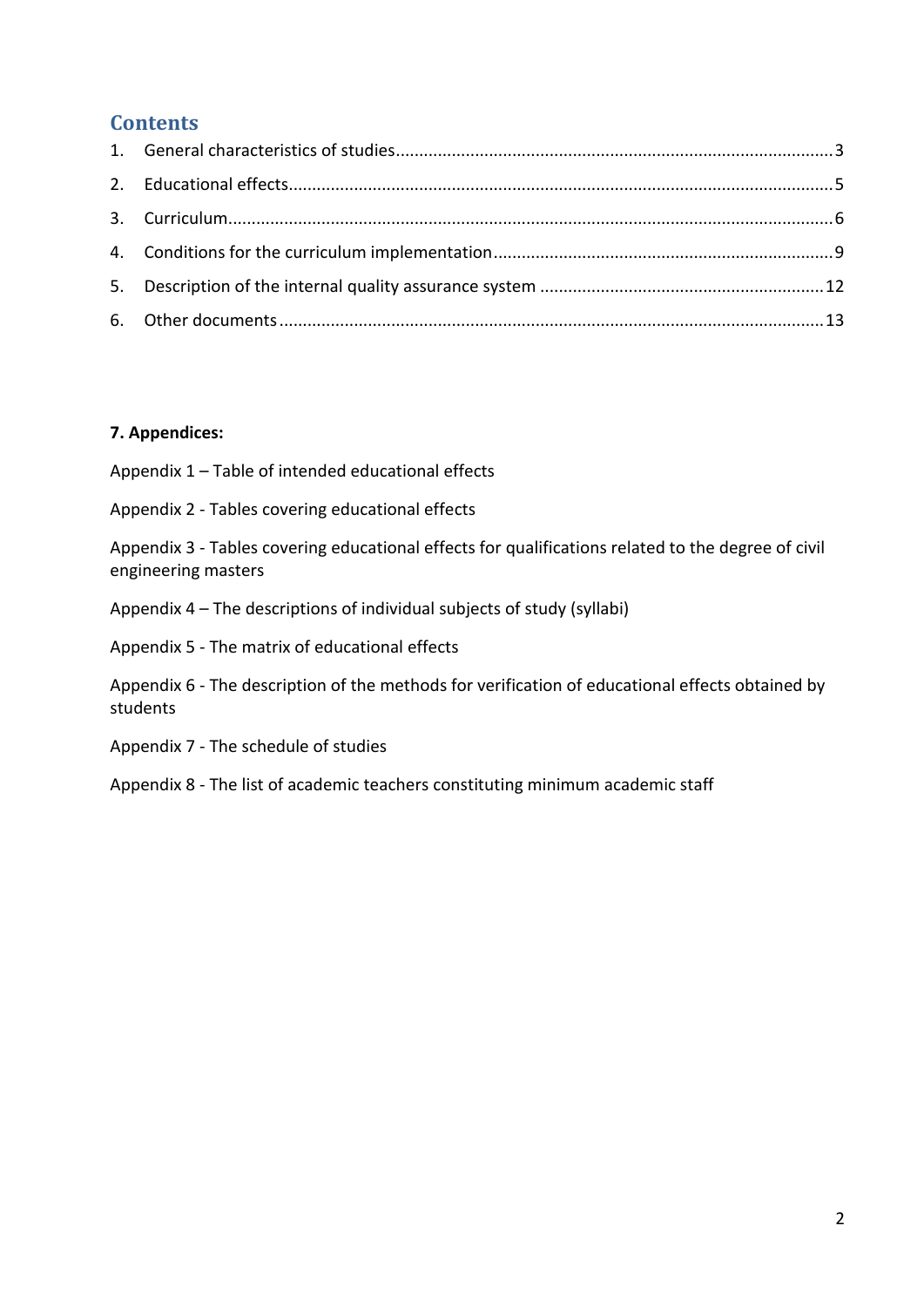# **Contents**

### **7. Appendices:**

Appendix 1 – Table of intended educational effects

Appendix 2 - Tables covering educational effects

Appendix 3 - Tables covering educational effects for qualifications related to the degree of civil engineering masters

Appendix 4 – The descriptions of individual subjects of study (syllabi)

Appendix 5 - The matrix of educational effects

Appendix 6 - The description of the methods for verification of educational effects obtained by students

Appendix 7 - The schedule of studies

Appendix 8 - The list of academic teachers constituting minimum academic staff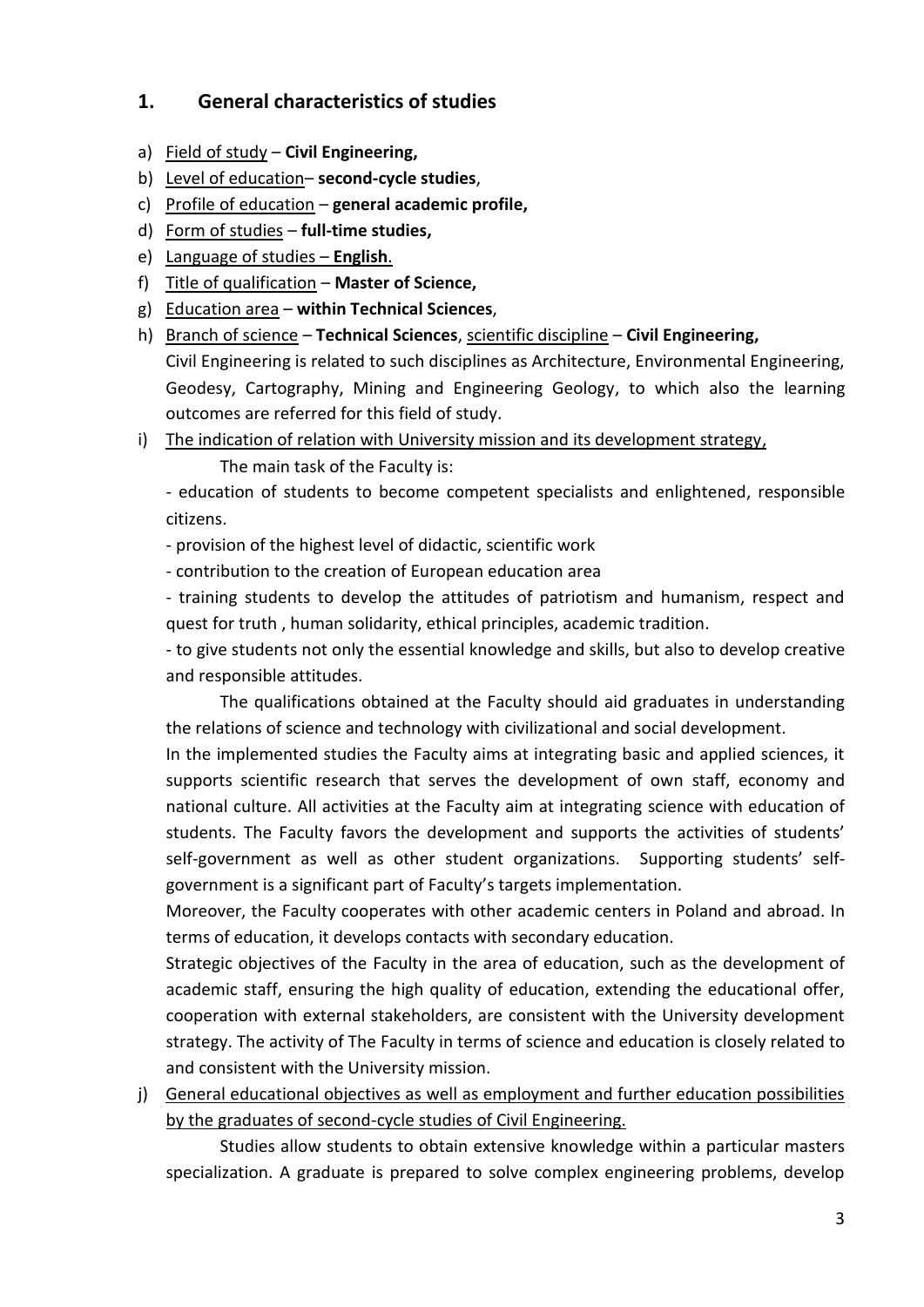# <span id="page-2-0"></span>**1. General characteristics of studies**

- a) Field of study **Civil Engineering,**
- b) Level of education– **second-cycle studies**,
- c) Profile of education **general academic profile,**
- d) Form of studies **full-time studies,**
- e) Language of studies **English**.
- f) Title of qualification **Master of Science,**
- g) Education area **within Technical Sciences**,
- h) Branch of science **Technical Sciences**, scientific discipline **Civil Engineering,** Civil Engineering is related to such disciplines as Architecture, Environmental Engineering, Geodesy, Cartography, Mining and Engineering Geology, to which also the learning outcomes are referred for this field of study.
- i) The indication of relation with University mission and its development strategy,
	- The main task of the Faculty is:

- education of students to become competent specialists and enlightened, responsible citizens.

- provision of the highest level of didactic, scientific work
- contribution to the creation of European education area

- training students to develop the attitudes of patriotism and humanism, respect and quest for truth , human solidarity, ethical principles, academic tradition.

- to give students not only the essential knowledge and skills, but also to develop creative and responsible attitudes.

The qualifications obtained at the Faculty should aid graduates in understanding the relations of science and technology with civilizational and social development.

In the implemented studies the Faculty aims at integrating basic and applied sciences, it supports scientific research that serves the development of own staff, economy and national culture. All activities at the Faculty aim at integrating science with education of students. The Faculty favors the development and supports the activities of students' self-government as well as other student organizations. Supporting students' selfgovernment is a significant part of Faculty's targets implementation.

Moreover, the Faculty cooperates with other academic centers in Poland and abroad. In terms of education, it develops contacts with secondary education.

Strategic objectives of the Faculty in the area of education, such as the development of academic staff, ensuring the high quality of education, extending the educational offer, cooperation with external stakeholders, are consistent with the University development strategy. The activity of The Faculty in terms of science and education is closely related to and consistent with the University mission.

j) General educational objectives as well as employment and further education possibilities by the graduates of second-cycle studies of Civil Engineering.

Studies allow students to obtain extensive knowledge within a particular masters specialization. A graduate is prepared to solve complex engineering problems, develop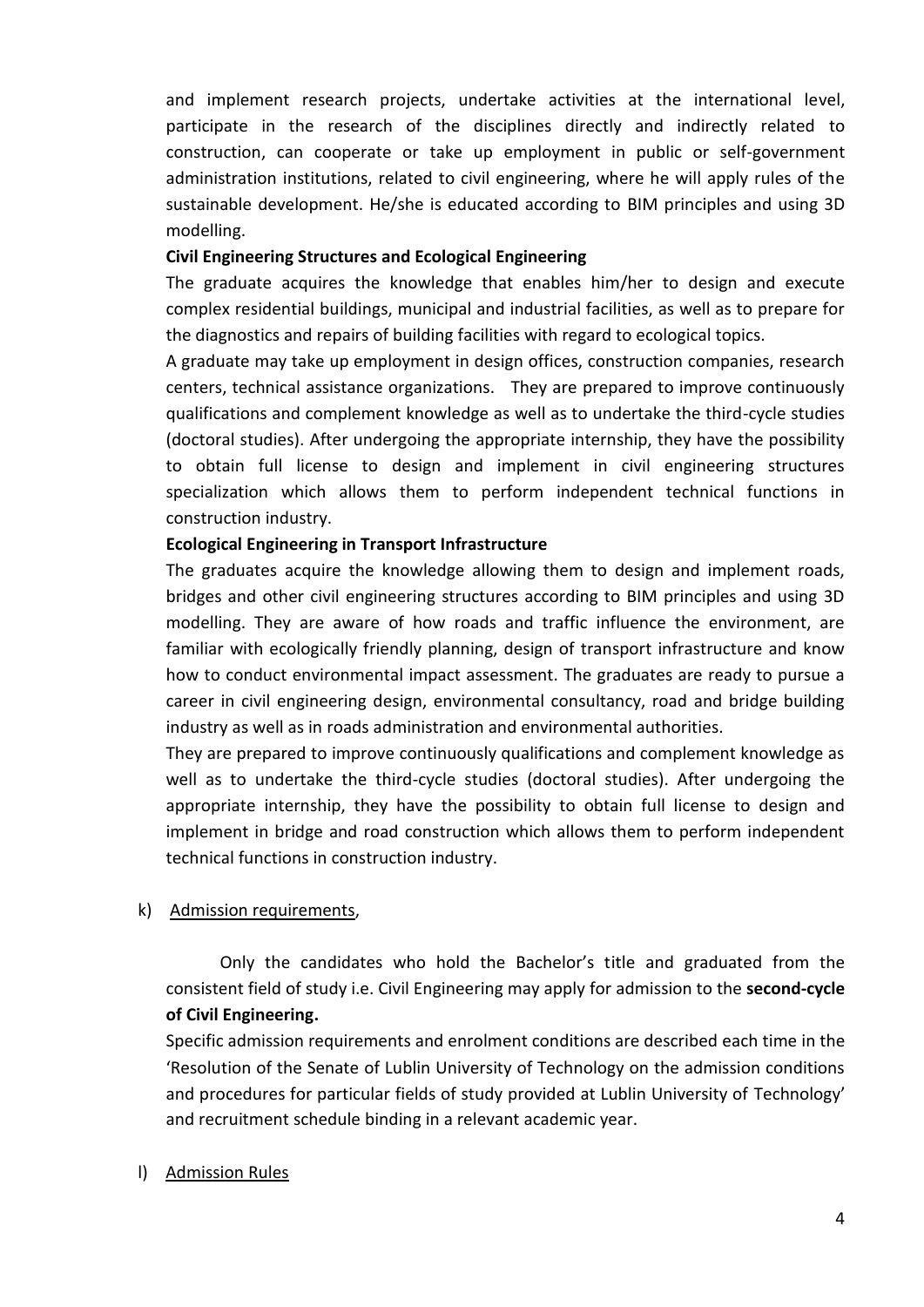and implement research projects, undertake activities at the international level, participate in the research of the disciplines directly and indirectly related to construction, can cooperate or take up employment in public or self-government administration institutions, related to civil engineering, where he will apply rules of the sustainable development. He/she is educated according to BIM principles and using 3D modelling.

#### **Civil Engineering Structures and Ecological Engineering**

The graduate acquires the knowledge that enables him/her to design and execute complex residential buildings, municipal and industrial facilities, as well as to prepare for the diagnostics and repairs of building facilities with regard to ecological topics.

A graduate may take up employment in design offices, construction companies, research centers, technical assistance organizations. They are prepared to improve continuously qualifications and complement knowledge as well as to undertake the third-cycle studies (doctoral studies). After undergoing the appropriate internship, they have the possibility to obtain full license to design and implement in civil engineering structures specialization which allows them to perform independent technical functions in construction industry.

#### **Ecological Engineering in Transport Infrastructure**

The graduates acquire the knowledge allowing them to design and implement roads, bridges and other civil engineering structures according to BIM principles and using 3D modelling. They are aware of how roads and traffic influence the environment, are familiar with ecologically friendly planning, design of transport infrastructure and know how to conduct environmental impact assessment. The graduates are ready to pursue a career in civil engineering design, environmental consultancy, road and bridge building industry as well as in roads administration and environmental authorities.

They are prepared to improve continuously qualifications and complement knowledge as well as to undertake the third-cycle studies (doctoral studies). After undergoing the appropriate internship, they have the possibility to obtain full license to design and implement in bridge and road construction which allows them to perform independent technical functions in construction industry.

#### k) Admission requirements,

Only the candidates who hold the Bachelor's title and graduated from the consistent field of study i.e. Civil Engineering may apply for admission to the **second-cycle of Civil Engineering.**

Specific admission requirements and enrolment conditions are described each time in the 'Resolution of the Senate of Lublin University of Technology on the admission conditions and procedures for particular fields of study provided at Lublin University of Technology' and recruitment schedule binding in a relevant academic year.

#### l) Admission Rules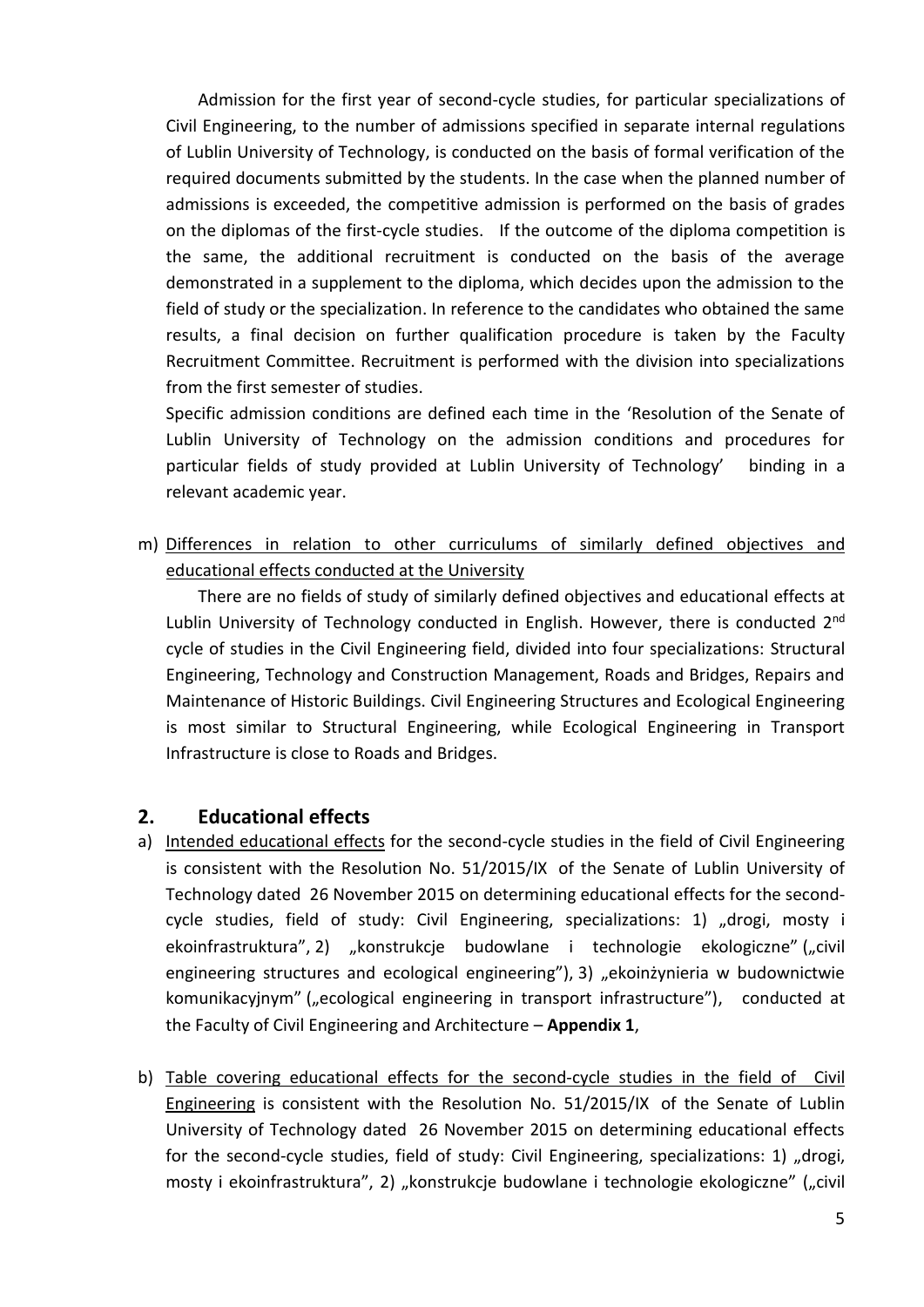Admission for the first year of second-cycle studies, for particular specializations of Civil Engineering, to the number of admissions specified in separate internal regulations of Lublin University of Technology, is conducted on the basis of formal verification of the required documents submitted by the students. In the case when the planned number of admissions is exceeded, the competitive admission is performed on the basis of grades on the diplomas of the first-cycle studies. If the outcome of the diploma competition is the same, the additional recruitment is conducted on the basis of the average demonstrated in a supplement to the diploma, which decides upon the admission to the field of study or the specialization. In reference to the candidates who obtained the same results, a final decision on further qualification procedure is taken by the Faculty Recruitment Committee. Recruitment is performed with the division into specializations from the first semester of studies.

Specific admission conditions are defined each time in the 'Resolution of the Senate of Lublin University of Technology on the admission conditions and procedures for particular fields of study provided at Lublin University of Technology' binding in a relevant academic year.

m) Differences in relation to other curriculums of similarly defined objectives and educational effects conducted at the University

There are no fields of study of similarly defined objectives and educational effects at Lublin University of Technology conducted in English. However, there is conducted 2<sup>nd</sup> cycle of studies in the Civil Engineering field, divided into four specializations: Structural Engineering, Technology and Construction Management, Roads and Bridges, Repairs and Maintenance of Historic Buildings. Civil Engineering Structures and Ecological Engineering is most similar to Structural Engineering, while Ecological Engineering in Transport Infrastructure is close to Roads and Bridges.

# <span id="page-4-0"></span>**2. Educational effects**

- a) Intended educational effects for the second-cycle studies in the field of Civil Engineering is consistent with the Resolution No. 51/2015/IX of the Senate of Lublin University of Technology dated 26 November 2015 on determining educational effects for the secondcycle studies, field of study: Civil Engineering, specializations: 1)  $n$ drogi, mosty i ekoinfrastruktura", 2) "konstrukcje budowlane i technologie ekologiczne" ("civil engineering structures and ecological engineering"), 3) "ekoinżynieria w budownictwie komunikacyjnym" ("ecological engineering in transport infrastructure"), conducted at the Faculty of Civil Engineering and Architecture – **Appendix 1**,
- b) Table covering educational effects for the second-cycle studies in the field of Civil Engineering is consistent with the Resolution No. 51/2015/IX of the Senate of Lublin University of Technology dated 26 November 2015 on determining educational effects for the second-cycle studies, field of study: Civil Engineering, specializations: 1) "drogi, mosty i ekoinfrastruktura", 2) "konstrukcje budowlane i technologie ekologiczne" ("civil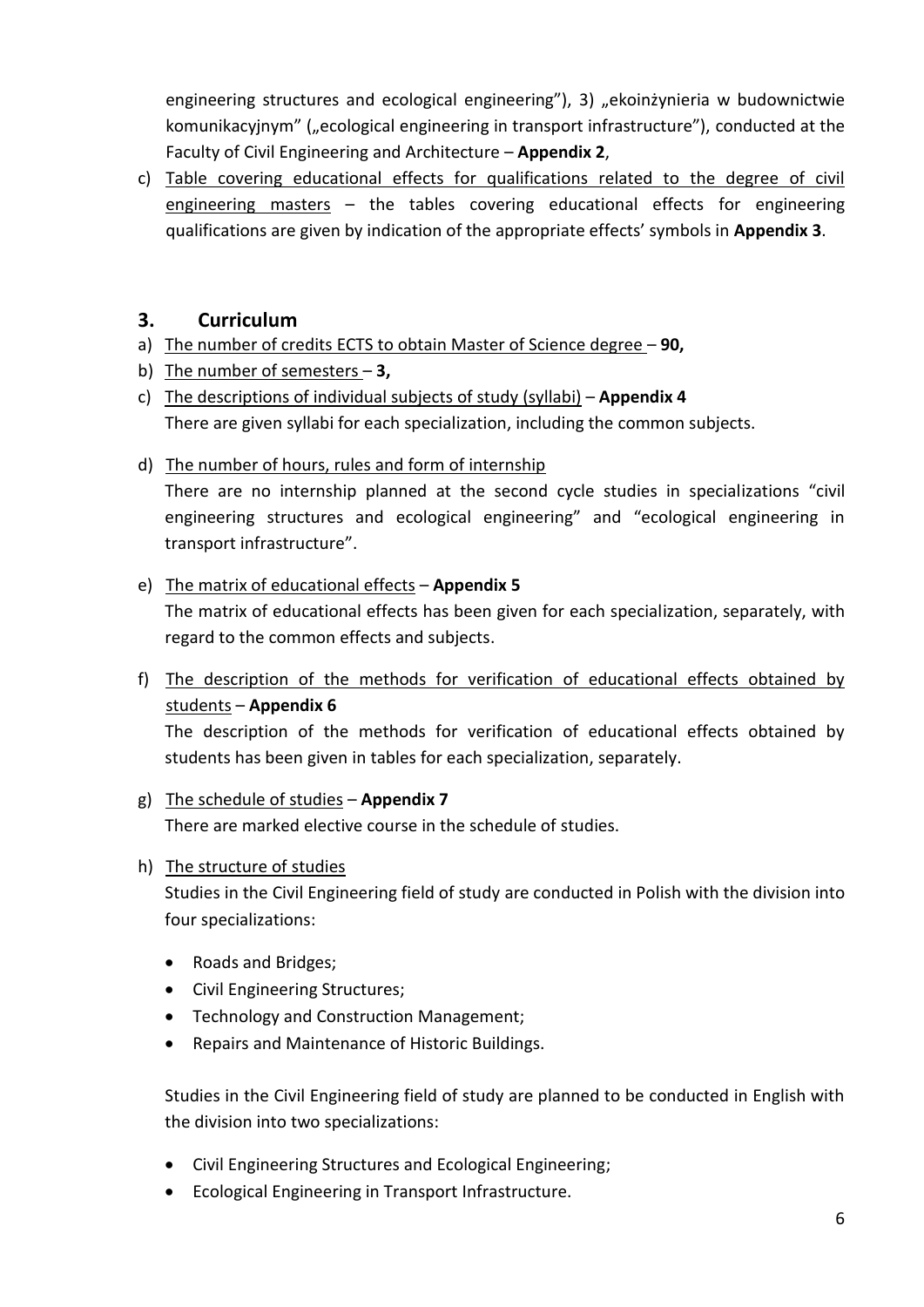engineering structures and ecological engineering"), 3) "ekoinżynieria w budownictwie komunikacyjnym" ("ecological engineering in transport infrastructure"), conducted at the Faculty of Civil Engineering and Architecture – **Appendix 2**,

c) Table covering educational effects for qualifications related to the degree of civil engineering masters – the tables covering educational effects for engineering qualifications are given by indication of the appropriate effects' symbols in **Appendix 3**.

# <span id="page-5-0"></span>**3. Curriculum**

- a) The number of credits ECTS to obtain Master of Science degree **90,**
- b) The number of semesters **3,**
- c) The descriptions of individual subjects of study (syllabi) **Appendix 4** There are given syllabi for each specialization, including the common subjects.
- d) The number of hours, rules and form of internship

There are no internship planned at the second cycle studies in specializations "civil engineering structures and ecological engineering" and "ecological engineering in transport infrastructure".

#### e) The matrix of educational effects – **Appendix 5**

The matrix of educational effects has been given for each specialization, separately, with regard to the common effects and subjects.

f) The description of the methods for verification of educational effects obtained by students – **Appendix 6**

The description of the methods for verification of educational effects obtained by students has been given in tables for each specialization, separately.

#### g) The schedule of studies – **Appendix 7** There are marked elective course in the schedule of studies.

h) The structure of studies

Studies in the Civil Engineering field of study are conducted in Polish with the division into four specializations:

- Roads and Bridges;
- Civil Engineering Structures;
- Technology and Construction Management;
- Repairs and Maintenance of Historic Buildings.

Studies in the Civil Engineering field of study are planned to be conducted in English with the division into two specializations:

- Civil Engineering Structures and Ecological Engineering;
- Ecological Engineering in Transport Infrastructure.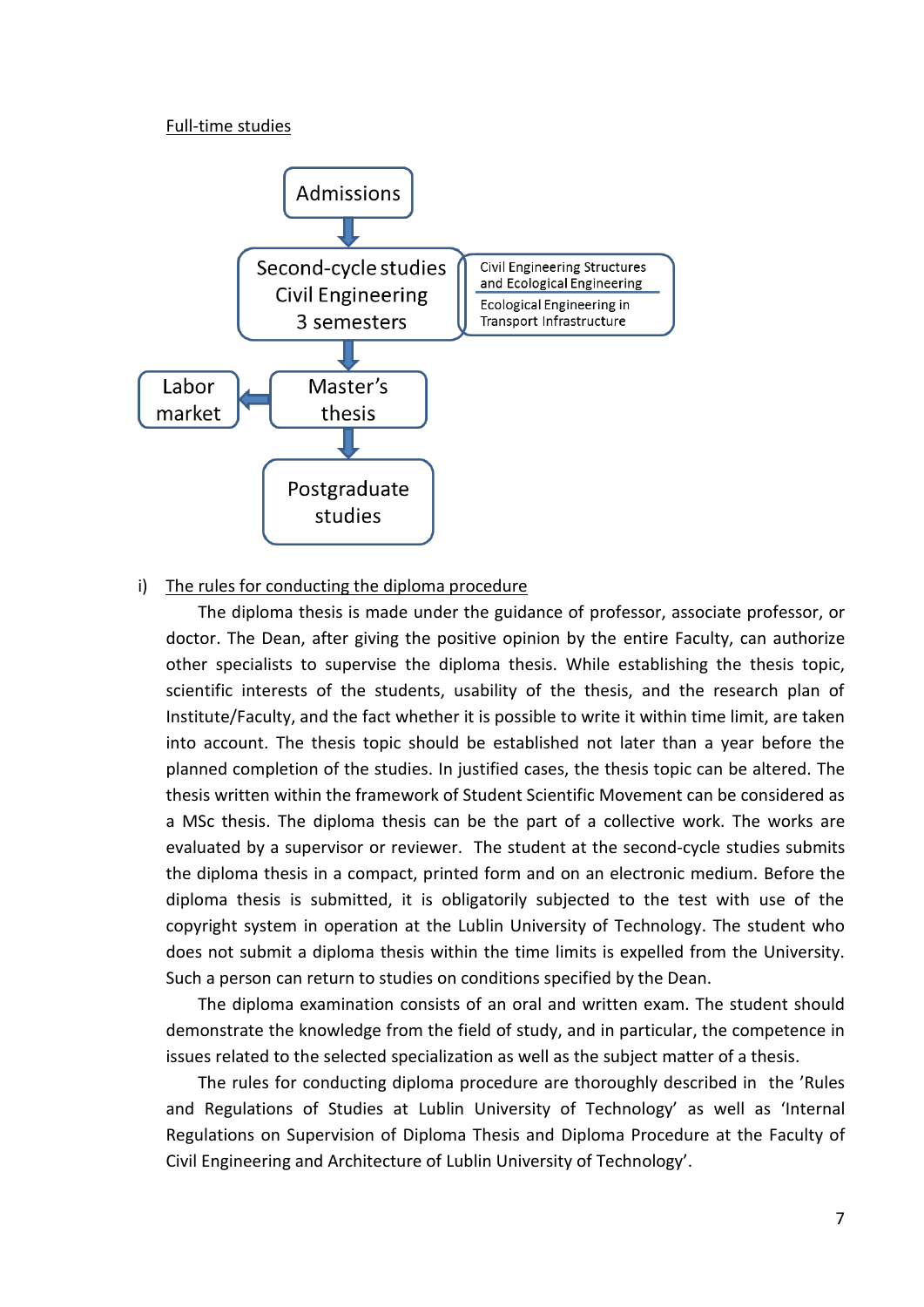#### Full-time studies



#### i) The rules for conducting the diploma procedure

The diploma thesis is made under the guidance of professor, associate professor, or doctor. The Dean, after giving the positive opinion by the entire Faculty, can authorize other specialists to supervise the diploma thesis. While establishing the thesis topic, scientific interests of the students, usability of the thesis, and the research plan of Institute/Faculty, and the fact whether it is possible to write it within time limit, are taken into account. The thesis topic should be established not later than a year before the planned completion of the studies. In justified cases, the thesis topic can be altered. The thesis written within the framework of Student Scientific Movement can be considered as a MSc thesis. The diploma thesis can be the part of a collective work. The works are evaluated by a supervisor or reviewer. The student at the second-cycle studies submits the diploma thesis in a compact, printed form and on an electronic medium. Before the diploma thesis is submitted, it is obligatorily subjected to the test with use of the copyright system in operation at the Lublin University of Technology. The student who does not submit a diploma thesis within the time limits is expelled from the University. Such a person can return to studies on conditions specified by the Dean.

The diploma examination consists of an oral and written exam. The student should demonstrate the knowledge from the field of study, and in particular, the competence in issues related to the selected specialization as well as the subject matter of a thesis.

The rules for conducting diploma procedure are thoroughly described in the 'Rules and Regulations of Studies at Lublin University of Technology' as well as 'Internal Regulations on Supervision of Diploma Thesis and Diploma Procedure at the Faculty of Civil Engineering and Architecture of Lublin University of Technology'.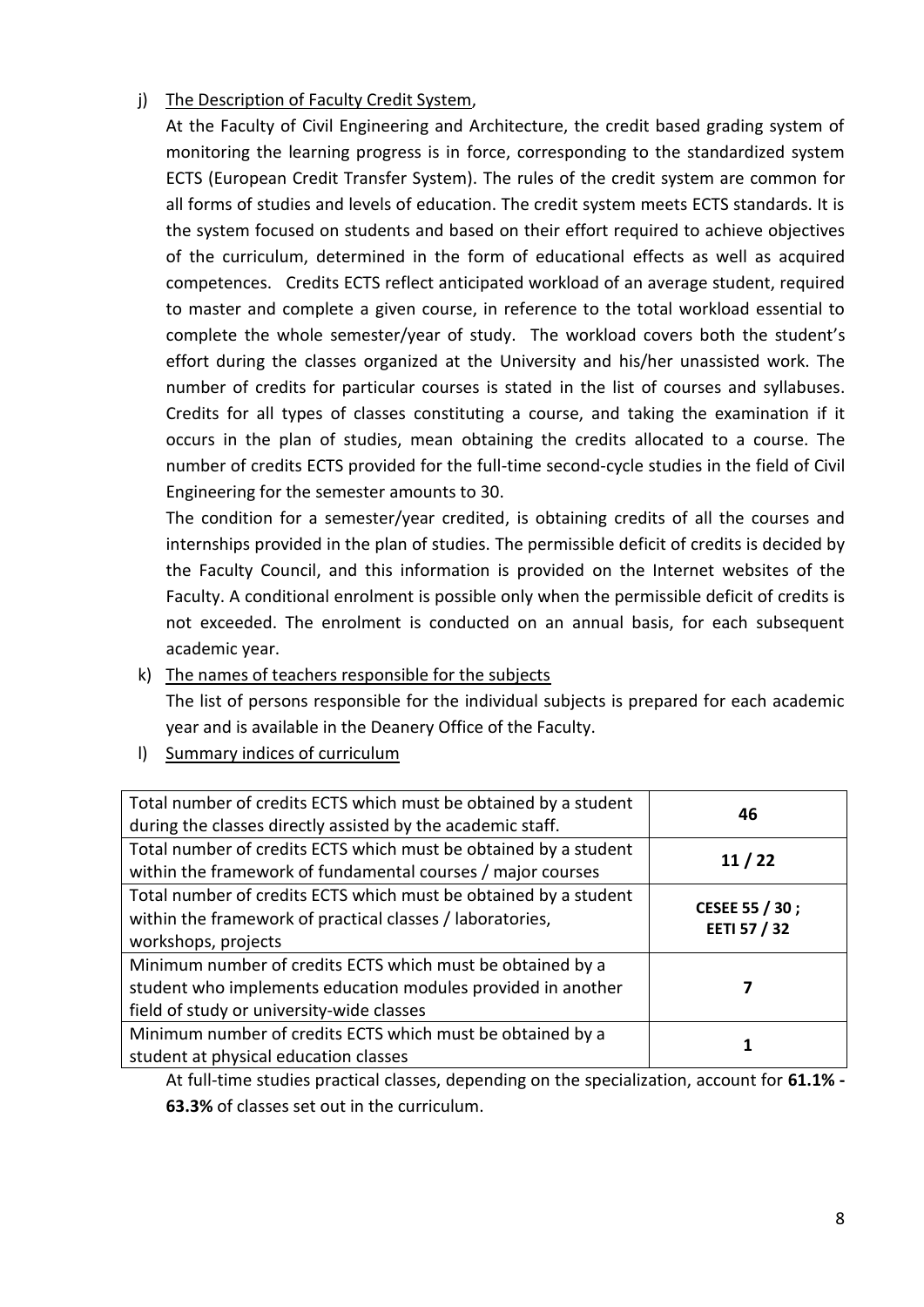# j) The Description of Faculty Credit System,

At the Faculty of Civil Engineering and Architecture, the credit based grading system of monitoring the learning progress is in force, corresponding to the standardized system ECTS (European Credit Transfer System). The rules of the credit system are common for all forms of studies and levels of education. The credit system meets ECTS standards. It is the system focused on students and based on their effort required to achieve objectives of the curriculum, determined in the form of educational effects as well as acquired competences. Credits ECTS reflect anticipated workload of an average student, required to master and complete a given course, in reference to the total workload essential to complete the whole semester/year of study. The workload covers both the student's effort during the classes organized at the University and his/her unassisted work. The number of credits for particular courses is stated in the list of courses and syllabuses. Credits for all types of classes constituting a course, and taking the examination if it occurs in the plan of studies, mean obtaining the credits allocated to a course. The number of credits ECTS provided for the full-time second-cycle studies in the field of Civil Engineering for the semester amounts to 30.

The condition for a semester/year credited, is obtaining credits of all the courses and internships provided in the plan of studies. The permissible deficit of credits is decided by the Faculty Council, and this information is provided on the Internet websites of the Faculty. A conditional enrolment is possible only when the permissible deficit of credits is not exceeded. The enrolment is conducted on an annual basis, for each subsequent academic year.

k) The names of teachers responsible for the subjects

The list of persons responsible for the individual subjects is prepared for each academic year and is available in the Deanery Office of the Faculty.

l) Summary indices of curriculum

| Total number of credits ECTS which must be obtained by a student<br>during the classes directly assisted by the academic staff.                                         | 46                             |
|-------------------------------------------------------------------------------------------------------------------------------------------------------------------------|--------------------------------|
| Total number of credits ECTS which must be obtained by a student<br>within the framework of fundamental courses / major courses                                         | 11/22                          |
| Total number of credits ECTS which must be obtained by a student<br>within the framework of practical classes / laboratories,<br>workshops, projects                    | CESEE 55 / 30;<br>EETI 57 / 32 |
| Minimum number of credits ECTS which must be obtained by a<br>student who implements education modules provided in another<br>field of study or university-wide classes |                                |
| Minimum number of credits ECTS which must be obtained by a<br>student at physical education classes                                                                     |                                |

<span id="page-7-0"></span>At full-time studies practical classes, depending on the specialization, account for **61.1% - 63.3%** of classes set out in the curriculum.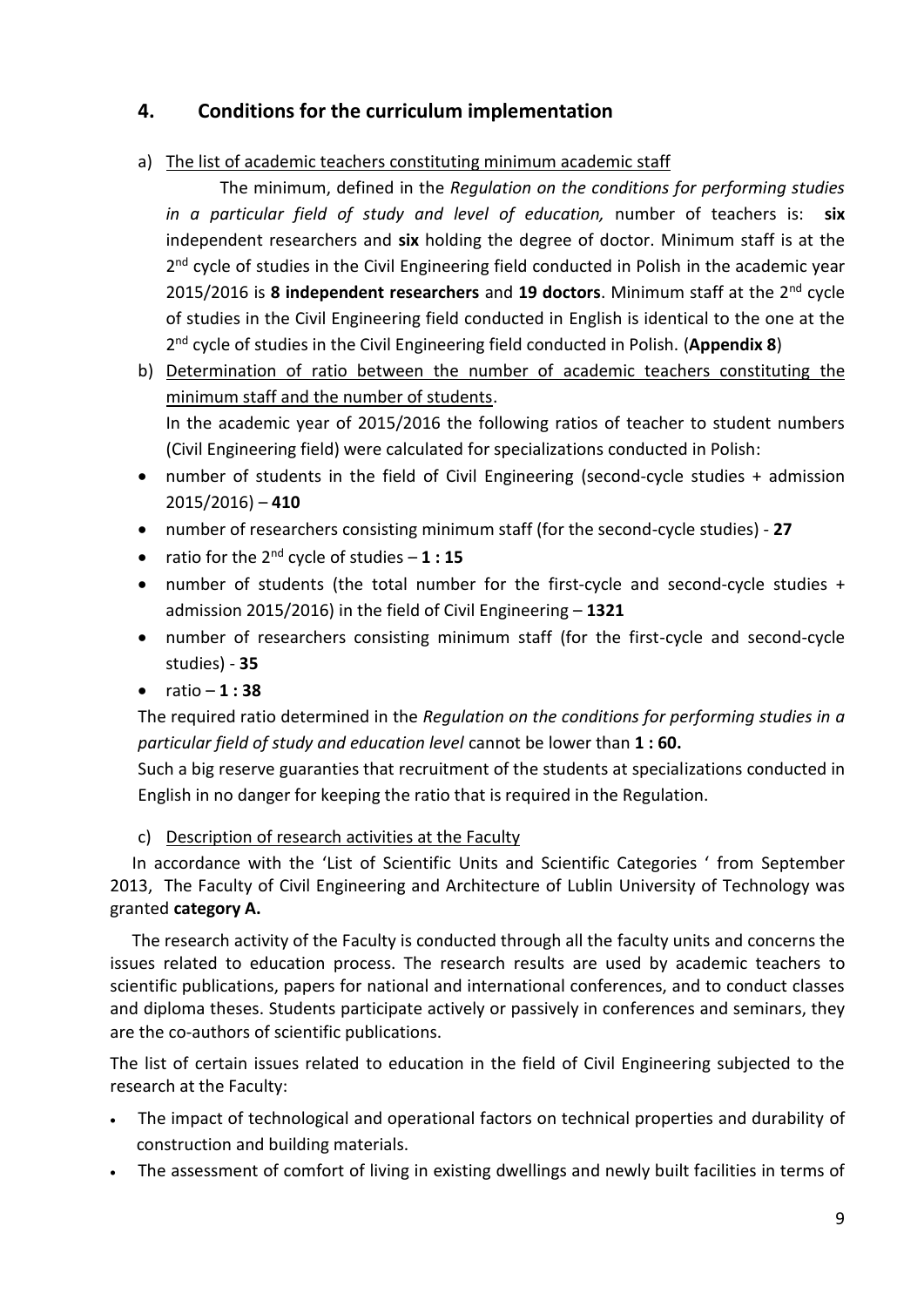# **4. Conditions for the curriculum implementation**

a) The list of academic teachers constituting minimum academic staff

The minimum, defined in the *Regulation on the conditions for performing studies in a particular field of study and level of education,* number of teachers is: **six** independent researchers and **six** holding the degree of doctor. Minimum staff is at the 2<sup>nd</sup> cycle of studies in the Civil Engineering field conducted in Polish in the academic year 2015/2016 is **8 independent researchers** and **19 doctors**. Minimum staff at the 2nd cycle of studies in the Civil Engineering field conducted in English is identical to the one at the 2 nd cycle of studies in the Civil Engineering field conducted in Polish. (**Appendix 8**)

- b) Determination of ratio between the number of academic teachers constituting the minimum staff and the number of students. In the academic year of 2015/2016 the following ratios of teacher to student numbers (Civil Engineering field) were calculated for specializations conducted in Polish:
- number of students in the field of Civil Engineering (second-cycle studies + admission 2015/2016) – **410**
- number of researchers consisting minimum staff (for the second-cycle studies) **27**
- ratio for the  $2^{nd}$  cycle of studies  $-1:15$
- number of students (the total number for the first-cycle and second-cycle studies + admission 2015/2016) in the field of Civil Engineering – **1321**
- number of researchers consisting minimum staff (for the first-cycle and second-cycle studies) - **35**
- $\bullet$  ratio **1 : 38**

The required ratio determined in the *Regulation on the conditions for performing studies in a particular field of study and education level* cannot be lower than **1 : 60.**

Such a big reserve guaranties that recruitment of the students at specializations conducted in English in no danger for keeping the ratio that is required in the Regulation.

# c) Description of research activities at the Faculty

In accordance with the 'List of Scientific Units and Scientific Categories ' from September 2013, The Faculty of Civil Engineering and Architecture of Lublin University of Technology was granted **category A.**

The research activity of the Faculty is conducted through all the faculty units and concerns the issues related to education process. The research results are used by academic teachers to scientific publications, papers for national and international conferences, and to conduct classes and diploma theses. Students participate actively or passively in conferences and seminars, they are the co-authors of scientific publications.

The list of certain issues related to education in the field of Civil Engineering subjected to the research at the Faculty:

- The impact of technological and operational factors on technical properties and durability of construction and building materials.
- The assessment of comfort of living in existing dwellings and newly built facilities in terms of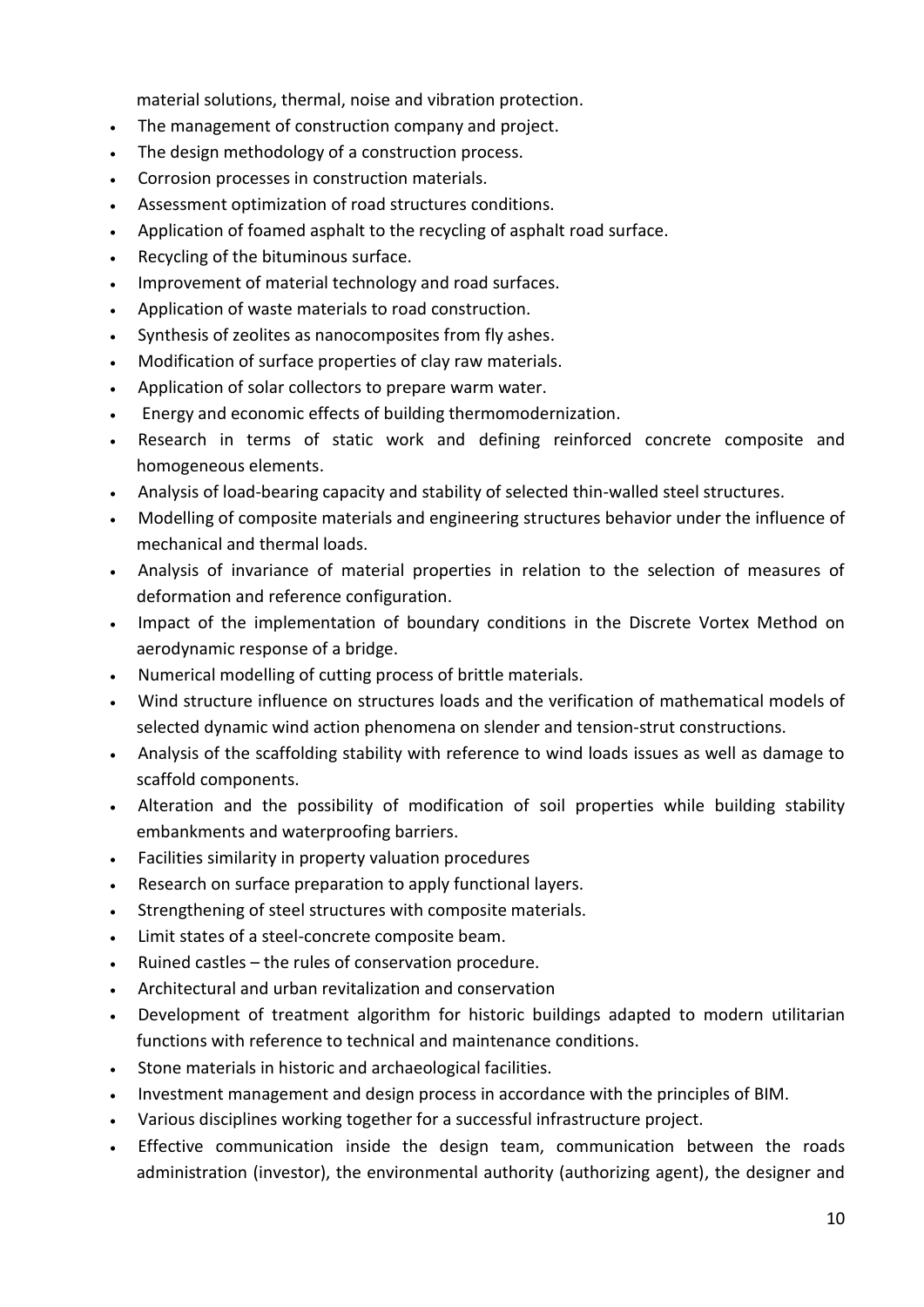material solutions, thermal, noise and vibration protection.

- The management of construction company and project.
- The design methodology of a construction process.
- Corrosion processes in construction materials.
- Assessment optimization of road structures conditions.
- Application of foamed asphalt to the recycling of asphalt road surface.
- Recycling of the bituminous surface.
- Improvement of material technology and road surfaces.
- Application of waste materials to road construction.
- Synthesis of zeolites as nanocomposites from fly ashes.
- Modification of surface properties of clay raw materials.
- Application of solar collectors to prepare warm water.
- Energy and economic effects of building thermomodernization.
- Research in terms of static work and defining reinforced concrete composite and homogeneous elements.
- Analysis of load-bearing capacity and stability of selected thin-walled steel structures.
- Modelling of composite materials and engineering structures behavior under the influence of mechanical and thermal loads.
- Analysis of invariance of material properties in relation to the selection of measures of deformation and reference configuration.
- Impact of the implementation of boundary conditions in the Discrete Vortex Method on aerodynamic response of a bridge.
- Numerical modelling of cutting process of brittle materials.
- Wind structure influence on structures loads and the verification of mathematical models of selected dynamic wind action phenomena on slender and tension-strut constructions.
- Analysis of the scaffolding stability with reference to wind loads issues as well as damage to scaffold components.
- Alteration and the possibility of modification of soil properties while building stability embankments and waterproofing barriers.
- Facilities similarity in property valuation procedures
- Research on surface preparation to apply functional layers.
- Strengthening of steel structures with composite materials.
- Limit states of a steel-concrete composite beam.
- Ruined castles the rules of conservation procedure.
- Architectural and urban revitalization and conservation
- Development of treatment algorithm for historic buildings adapted to modern utilitarian functions with reference to technical and maintenance conditions.
- Stone materials in historic and archaeological facilities.
- Investment management and design process in accordance with the principles of BIM.
- Various disciplines working together for a successful infrastructure project.
- Effective communication inside the design team, communication between the roads administration (investor), the environmental authority (authorizing agent), the designer and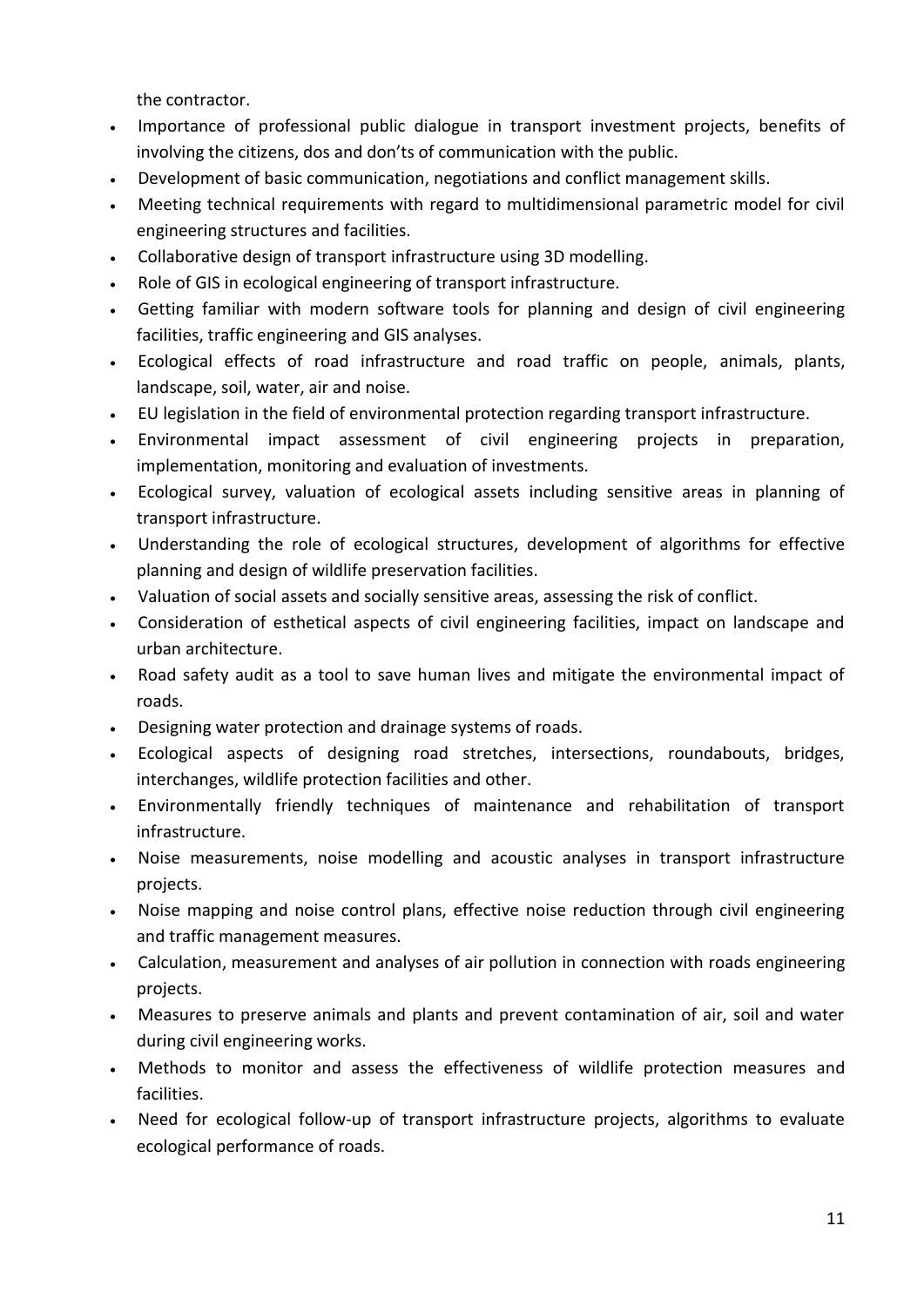the contractor.

- Importance of professional public dialogue in transport investment projects, benefits of involving the citizens, dos and don'ts of communication with the public.
- Development of basic communication, negotiations and conflict management skills.
- Meeting technical requirements with regard to multidimensional parametric model for civil engineering structures and facilities.
- Collaborative design of transport infrastructure using 3D modelling.
- Role of GIS in ecological engineering of transport infrastructure.
- Getting familiar with modern software tools for planning and design of civil engineering facilities, traffic engineering and GIS analyses.
- Ecological effects of road infrastructure and road traffic on people, animals, plants, landscape, soil, water, air and noise.
- EU legislation in the field of environmental protection regarding transport infrastructure.
- Environmental impact assessment of civil engineering projects in preparation, implementation, monitoring and evaluation of investments.
- Ecological survey, valuation of ecological assets including sensitive areas in planning of transport infrastructure.
- Understanding the role of ecological structures, development of algorithms for effective planning and design of wildlife preservation facilities.
- Valuation of social assets and socially sensitive areas, assessing the risk of conflict.
- Consideration of esthetical aspects of civil engineering facilities, impact on landscape and urban architecture.
- Road safety audit as a tool to save human lives and mitigate the environmental impact of roads.
- Designing water protection and drainage systems of roads.
- Ecological aspects of designing road stretches, intersections, roundabouts, bridges, interchanges, wildlife protection facilities and other.
- Environmentally friendly techniques of maintenance and rehabilitation of transport infrastructure.
- Noise measurements, noise modelling and acoustic analyses in transport infrastructure projects.
- Noise mapping and noise control plans, effective noise reduction through civil engineering and traffic management measures.
- Calculation, measurement and analyses of air pollution in connection with roads engineering projects.
- Measures to preserve animals and plants and prevent contamination of air, soil and water during civil engineering works.
- Methods to monitor and assess the effectiveness of wildlife protection measures and facilities.
- Need for ecological follow-up of transport infrastructure projects, algorithms to evaluate ecological performance of roads.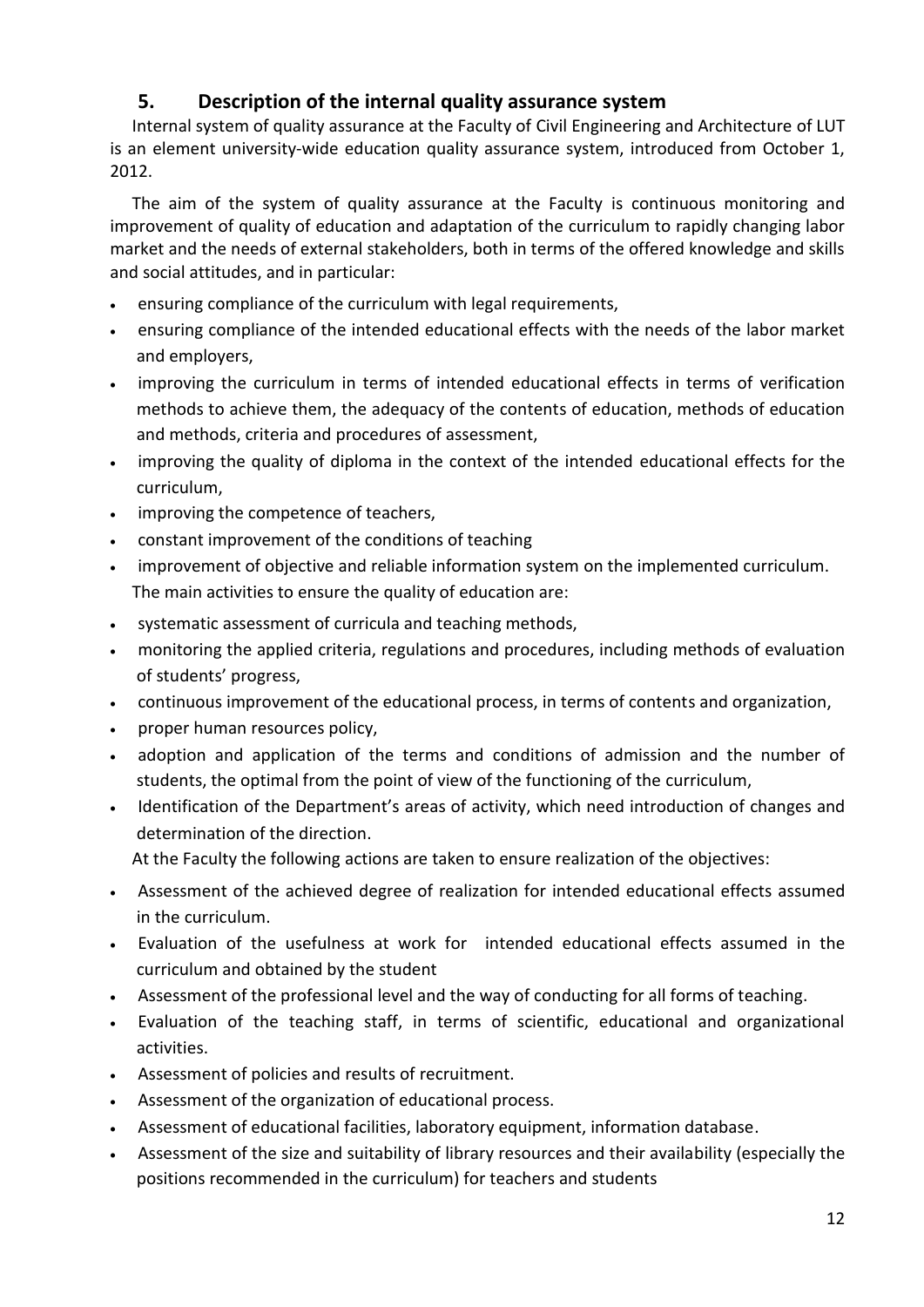# **5. Description of the internal quality assurance system**

<span id="page-11-0"></span>Internal system of quality assurance at the Faculty of Civil Engineering and Architecture of LUT is an element university-wide education quality assurance system, introduced from October 1, 2012.

The aim of the system of quality assurance at the Faculty is continuous monitoring and improvement of quality of education and adaptation of the curriculum to rapidly changing labor market and the needs of external stakeholders, both in terms of the offered knowledge and skills and social attitudes, and in particular:

- ensuring compliance of the curriculum with legal requirements,
- ensuring compliance of the intended educational effects with the needs of the labor market and employers,
- improving the curriculum in terms of intended educational effects in terms of verification methods to achieve them, the adequacy of the contents of education, methods of education and methods, criteria and procedures of assessment,
- improving the quality of diploma in the context of the intended educational effects for the curriculum,
- improving the competence of teachers,
- constant improvement of the conditions of teaching
- improvement of objective and reliable information system on the implemented curriculum. The main activities to ensure the quality of education are:
- systematic assessment of curricula and teaching methods,
- monitoring the applied criteria, regulations and procedures, including methods of evaluation of students' progress,
- continuous improvement of the educational process, in terms of contents and organization,
- proper human resources policy,
- adoption and application of the terms and conditions of admission and the number of students, the optimal from the point of view of the functioning of the curriculum,
- Identification of the Department's areas of activity, which need introduction of changes and determination of the direction.

At the Faculty the following actions are taken to ensure realization of the objectives:

- Assessment of the achieved degree of realization for intended educational effects assumed in the curriculum.
- Evaluation of the usefulness at work for intended educational effects assumed in the curriculum and obtained by the student
- Assessment of the professional level and the way of conducting for all forms of teaching.
- Evaluation of the teaching staff, in terms of scientific, educational and organizational activities.
- Assessment of policies and results of recruitment.
- Assessment of the organization of educational process.
- Assessment of educational facilities, laboratory equipment, information database.
- Assessment of the size and suitability of library resources and their availability (especially the positions recommended in the curriculum) for teachers and students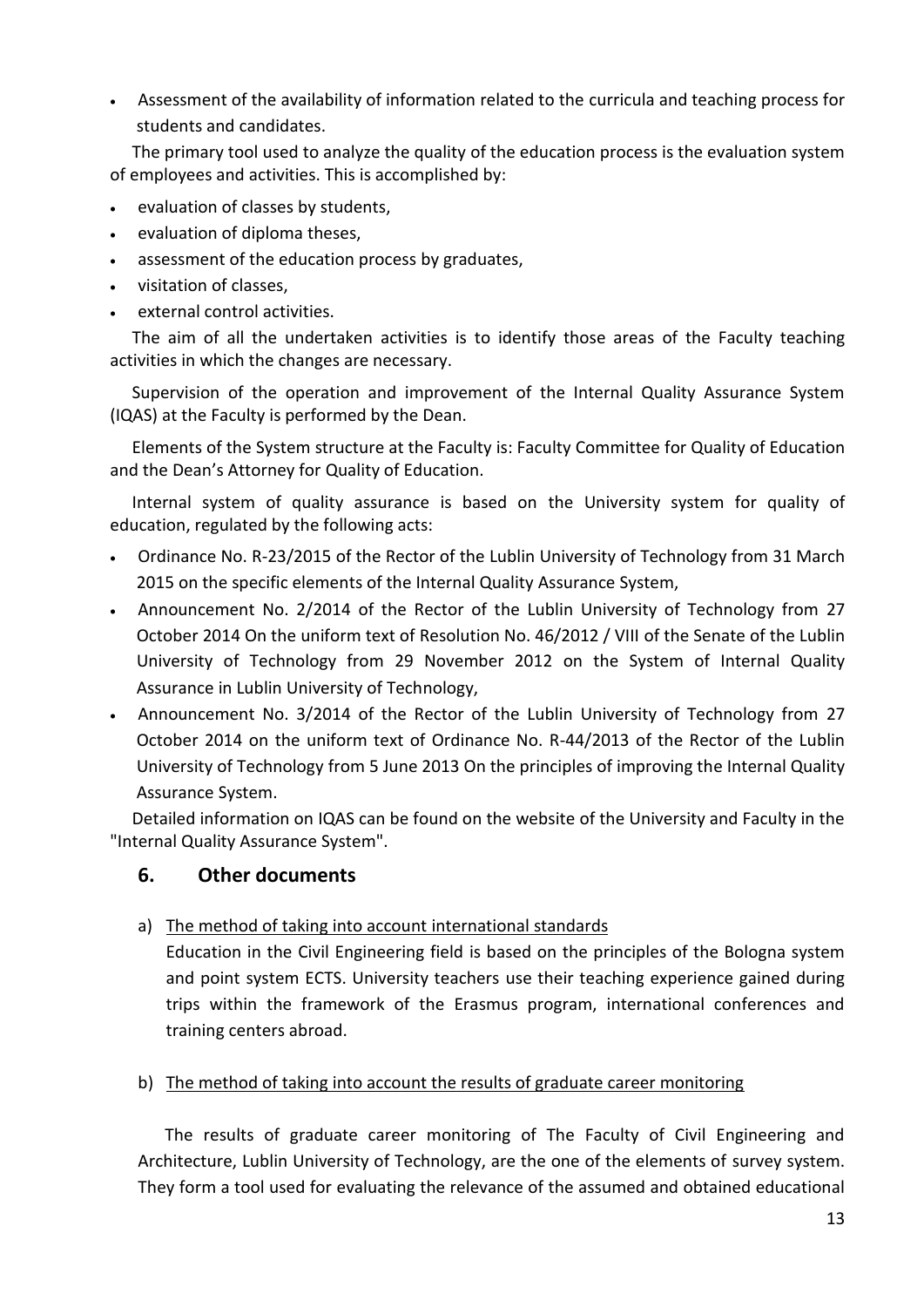Assessment of the availability of information related to the curricula and teaching process for students and candidates.

The primary tool used to analyze the quality of the education process is the evaluation system of employees and activities. This is accomplished by:

- evaluation of classes by students,
- evaluation of diploma theses,
- assessment of the education process by graduates,
- visitation of classes,
- external control activities.

The aim of all the undertaken activities is to identify those areas of the Faculty teaching activities in which the changes are necessary.

Supervision of the operation and improvement of the Internal Quality Assurance System (IQAS) at the Faculty is performed by the Dean.

Elements of the System structure at the Faculty is: Faculty Committee for Quality of Education and the Dean's Attorney for Quality of Education.

Internal system of quality assurance is based on the University system for quality of education, regulated by the following acts:

- Ordinance No. R-23/2015 of the Rector of the Lublin University of Technology from 31 March 2015 on the specific elements of the Internal Quality Assurance System,
- Announcement No. 2/2014 of the Rector of the Lublin University of Technology from 27 October 2014 On the uniform text of Resolution No. 46/2012 / VIII of the Senate of the Lublin University of Technology from 29 November 2012 on the System of Internal Quality Assurance in Lublin University of Technology,
- Announcement No. 3/2014 of the Rector of the Lublin University of Technology from 27 October 2014 on the uniform text of Ordinance No. R-44/2013 of the Rector of the Lublin University of Technology from 5 June 2013 On the principles of improving the Internal Quality Assurance System.

Detailed information on IQAS can be found on the website of the University and Faculty in the "Internal Quality Assurance System".

# <span id="page-12-0"></span>**6. Other documents**

# a) The method of taking into account international standards

Education in the Civil Engineering field is based on the principles of the Bologna system and point system ECTS. University teachers use their teaching experience gained during trips within the framework of the Erasmus program, international conferences and training centers abroad.

b) The method of taking into account the results of graduate career monitoring

The results of graduate career monitoring of The Faculty of Civil Engineering and Architecture, Lublin University of Technology, are the one of the elements of survey system. They form a tool used for evaluating the relevance of the assumed and obtained educational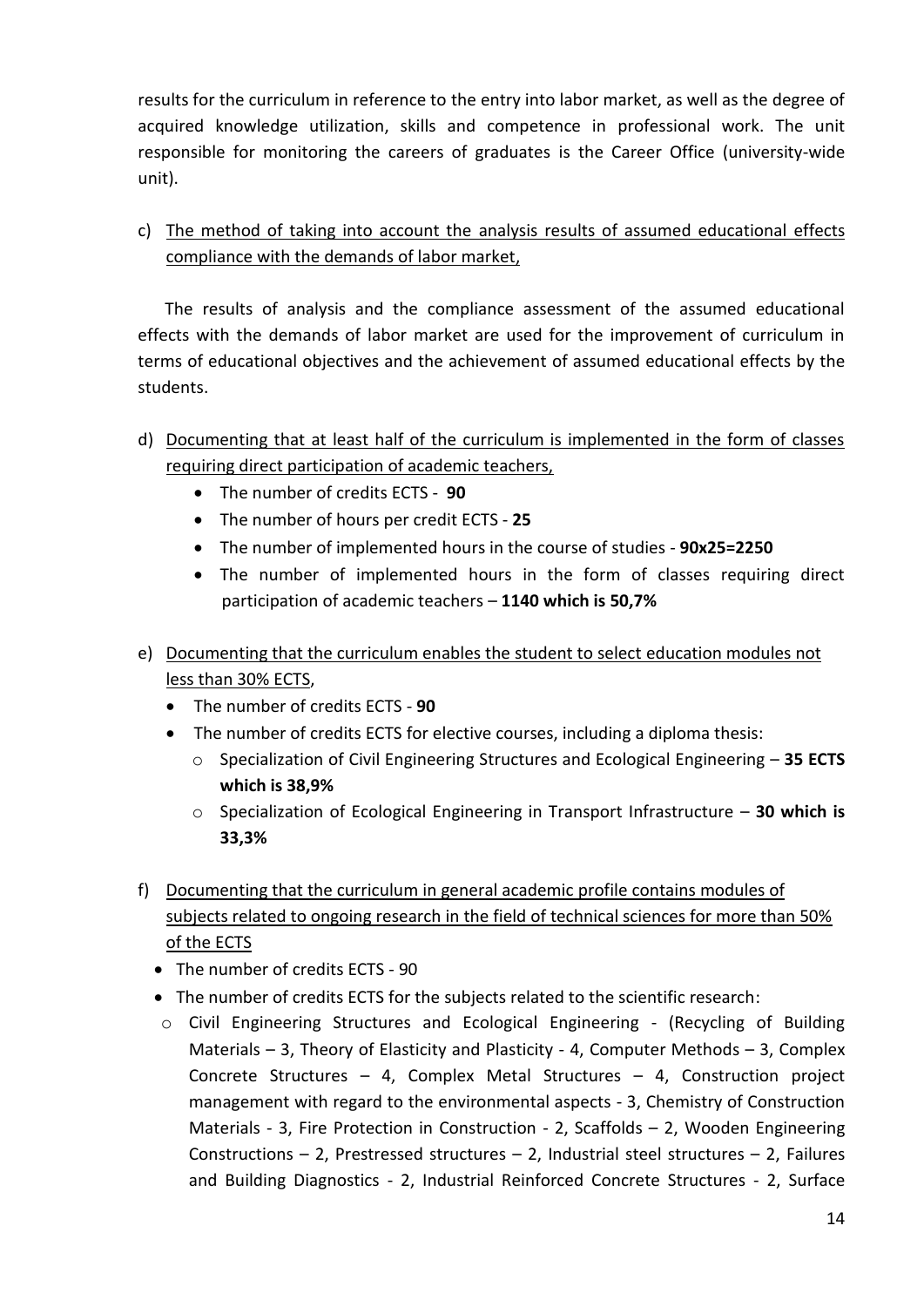results for the curriculum in reference to the entry into labor market, as well as the degree of acquired knowledge utilization, skills and competence in professional work. The unit responsible for monitoring the careers of graduates is the Career Office (university-wide unit).

c) The method of taking into account the analysis results of assumed educational effects compliance with the demands of labor market,

The results of analysis and the compliance assessment of the assumed educational effects with the demands of labor market are used for the improvement of curriculum in terms of educational objectives and the achievement of assumed educational effects by the students.

- d) Documenting that at least half of the curriculum is implemented in the form of classes requiring direct participation of academic teachers,
	- The number of credits ECTS **90**
	- The number of hours per credit ECTS **25**
	- The number of implemented hours in the course of studies **90x25=2250**
	- The number of implemented hours in the form of classes requiring direct participation of academic teachers – **1140 which is 50,7%**
- e) Documenting that the curriculum enables the student to select education modules not less than 30% ECTS,
	- The number of credits ECTS **90**
	- The number of credits ECTS for elective courses, including a diploma thesis:
		- o Specialization of Civil Engineering Structures and Ecological Engineering **35 ECTS which is 38,9%**
		- o Specialization of Ecological Engineering in Transport Infrastructure **30 which is 33,3%**
- f) Documenting that the curriculum in general academic profile contains modules of subjects related to ongoing research in the field of technical sciences for more than 50% of the ECTS
	- The number of credits ECTS 90
	- The number of credits ECTS for the subjects related to the scientific research:
	- o Civil Engineering Structures and Ecological Engineering (Recycling of Building Materials – 3, Theory of Elasticity and Plasticity - 4, Computer Methods – 3, Complex Concrete Structures – 4, Complex Metal Structures – 4, Construction project management with regard to the environmental aspects - 3, Chemistry of Construction Materials - 3, Fire Protection in Construction - 2, Scaffolds – 2, Wooden Engineering Constructions – 2, Prestressed structures – 2, Industrial steel structures – 2, Failures and Building Diagnostics - 2, Industrial Reinforced Concrete Structures - 2, Surface